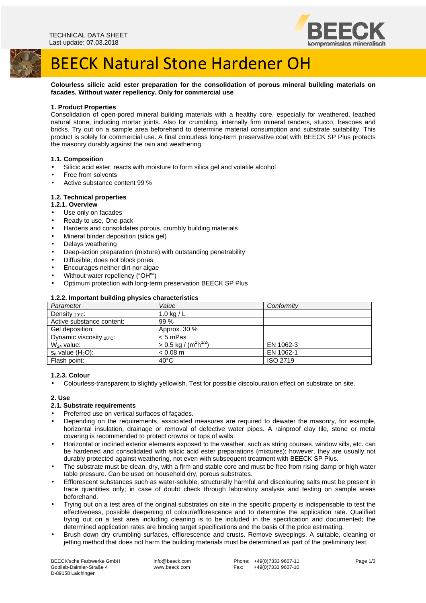



**Colourless silicic acid ester preparation for the consolidation of porous mineral building materials on facades. Without water repellency. Only for commercial use** 

# **1. Product Properties**

Consolidation of open-pored mineral building materials with a healthy core, especially for weathered, leached natural stone, including mortar joints. Also for crumbling, internally firm mineral renders, stucco, frescoes and bricks. Try out on a sample area beforehand to determine material consumption and substrate suitability. This product is solely for commercial use. A final colourless long-term preservative coat with BEECK SP Plus protects the masonry durably against the rain and weathering.

# **1.1. Composition**

- Silicic acid ester, reacts with moisture to form silica gel and volatile alcohol
- Free from solvents
- Active substance content 99 %

# **1.2. Technical properties**

# **1.2.1. Overview**

- Use only on facades
- Ready to use, One-pack
- Hardens and consolidates porous, crumbly building materials
- Mineral binder deposition (silica gel)
- Delays weathering
- Deep-action preparation (mixture) with outstanding penetrability
- Diffusible, does not block pores
- Encourages neither dirt nor algae
- Without water repellency ("OH"")
- Optimum protection with long-term preservation BEECK SP Plus

| <b>EXERCITIVE CONTRACTLY AND ALL AND ACTIVITIES</b> |                                   |            |
|-----------------------------------------------------|-----------------------------------|------------|
| Parameter                                           | Value                             | Conformity |
| Density $_{20^{\circ}C}$ :                          | 1.0 kg / $L$                      |            |
| Active substance content:                           | 99 %                              |            |
| Gel deposition:                                     | Approx. 30 %                      |            |
| Dynamic viscosity $_{20^{\circ}C}$ :                | $< 5$ mPas                        |            |
| $W_{24}$ value:                                     | $> 0.5$ kg $\sqrt{(m^2 h^{1/2})}$ | EN 1062-3  |
| $s_d$ value $(H_2O)$ :                              | $< 0.08$ m                        | EN 1062-1  |
| Flash point:                                        | $40^{\circ}$ C                    | ISO 2719   |

# **1.2.2. Important building physics characteristics**

#### **1.2.3. Colour**

• Colourless-transparent to slightly yellowish. Test for possible discolouration effect on substrate on site.

#### **2. Use**

#### **2.1. Substrate requirements**

- Preferred use on vertical surfaces of façades.
- Depending on the requirements, associated measures are required to dewater the masonry, for example, horizontal insulation, drainage or removal of defective water pipes. A rainproof clay tile, stone or metal covering is recommended to protect crowns or tops of walls.
- Horizontal or inclined exterior elements exposed to the weather, such as string courses, window sills, etc. can be hardened and consolidated with silicic acid ester preparations (mixtures); however, they are usually not durably protected against weathering, not even with subsequent treatment with BEECK SP Plus.
- The substrate must be clean, dry, with a firm and stable core and must be free from rising damp or high water table pressure. Can be used on household dry, porous substrates.
- Efflorescent substances such as water-soluble, structurally harmful and discolouring salts must be present in trace quantities only; in case of doubt check through laboratory analysis and testing on sample areas beforehand.
- Trying out on a test area of the original substrates on site in the specific property is indispensable to test the effectiveness, possible deepening of colour/efflorescence and to determine the application rate. Qualified trying out on a test area including cleaning is to be included in the specification and documented; the determined application rates are binding target specifications and the basis of the price estimating.
- Brush down dry crumbling surfaces, efflorescence and crusts. Remove sweepings. A suitable, cleaning or jetting method that does not harm the building materials must be determined as part of the preliminary test.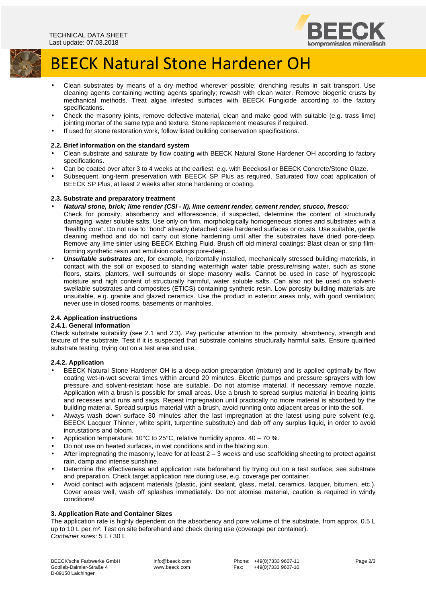

# BEECK Natural Stone Hardener OH

- Clean substrates by means of a dry method wherever possible; drenching results in salt transport. Use cleaning agents containing wetting agents sparingly; rewash with clean water. Remove biogenic crusts by mechanical methods. Treat algae infested surfaces with BEECK Fungicide according to the factory specifications.
- Check the masonry joints, remove defective material, clean and make good with suitable (e.g. trass lime) jointing mortar of the same type and texture. Stone replacement measures if required.
- If used for stone restoration work, follow listed building conservation specifications.

# **2.2. Brief information on the standard system**

- Clean substrate and saturate by flow coating with BEECK Natural Stone Hardener OH according to factory specifications.
- Can be coated over after 3 to 4 weeks at the earliest, e.g. with Beeckosil or BEECK Concrete/Stone Glaze.
- Subsequent long-term preservation with BEECK SP Plus as required. Saturated flow coat application of BEECK SP Plus, at least 2 weeks after stone hardening or coating.

#### **2.3. Substrate and preparatory treatment**

- **Natural stone, brick; lime render (CSI II), lime cement render, cement render, stucco, fresco:**  Check for porosity, absorbency and efflorescence, if suspected, determine the content of structurally damaging, water soluble salts. Use only on firm, morphologically homogeneous stones and substrates with a "healthy core". Do not use to "bond" already detached case hardened surfaces or crusts. Use suitable, gentle cleaning method and do not carry out stone hardening until after the substrates have dried pore-deep. Remove any lime sinter using BEECK Etching Fluid. Brush off old mineral coatings: Blast clean or strip filmforming synthetic resin and emulsion coatings pore-deep.
- **Unsuitable substrates** are, for example, horizontally installed, mechanically stressed building materials, in contact with the soil or exposed to standing water/high water table pressure/rising water, such as stone floors, stairs, planters, well surrounds or slope masonry walls. Cannot be used in case of hygroscopic moisture and high content of structurally harmful, water soluble salts. Can also not be used on solventswellable substrates and composites (ETICS) containing synthetic resin. Low porosity building materials are unsuitable, e.g. granite and glazed ceramics. Use the product in exterior areas only, with good ventilation; never use in closed rooms, basements or manholes.

# **2.4. Application instructions**

#### **2.4.1. General information**

Check substrate suitability (see 2.1 and 2.3). Pay particular attention to the porosity, absorbency, strength and texture of the substrate. Test if it is suspected that substrate contains structurally harmful salts. Ensure qualified substrate testing, trying out on a test area and use.

#### **2.4.2. Application**

- BEECK Natural Stone Hardener OH is a deep-action preparation (mixture) and is applied optimally by flow coating wet-in-wet several times within around 20 minutes. Electric pumps and pressure sprayers with low pressure and solvent-resistant hose are suitable. Do not atomise material, if necessary remove nozzle. Application with a brush is possible for small areas. Use a brush to spread surplus material in bearing joints and recesses and runs and sags. Repeat impregnation until practically no more material is absorbed by the building material. Spread surplus material with a brush, avoid running onto adjacent areas or into the soil.
- Always wash down surface 30 minutes after the last impregnation at the latest using pure solvent (e.g. BEECK Lacquer Thinner, white spirit, turpentine substitute) and dab off any surplus liquid, in order to avoid incrustations and bloom.
- Application temperature: 10°C to 25°C, relative humidity approx.  $40 70$  %.
- Do not use on heated surfaces, in wet conditions and in the blazing sun.
- After impregnating the masonry, leave for at least  $2 3$  weeks and use scaffolding sheeting to protect against rain, damp and intense sunshine.
- Determine the effectiveness and application rate beforehand by trying out on a test surface; see substrate and preparation. Check target application rate during use, e.g. coverage per container.
- Avoid contact with adjacent materials (plastic, joint sealant, glass, metal, ceramics, lacquer, bitumen, etc.). Cover areas well, wash off splashes immediately. Do not atomise material, caution is required in windy conditions!

#### **3. Application Rate and Container Sizes**

The application rate is highly dependent on the absorbency and pore volume of the substrate, from approx. 0.5 L up to 10 L per m². Test on site beforehand and check during use (coverage per container). Container sizes: 5 L / 30 L

 info@beeck.com www.beeck.com